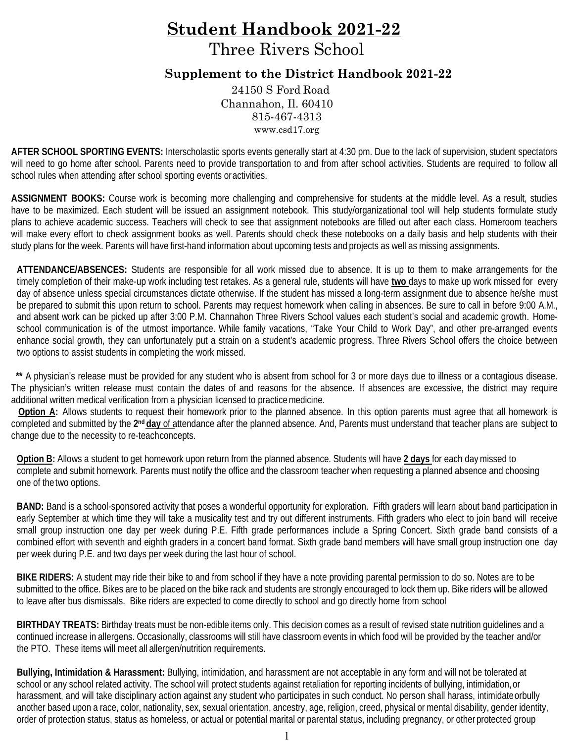# **Student Handbook 2021-22**

Three Rivers School

### **Supplement to the District Handbook 2021-22**

24150 S Ford Road Channahon, Il. 60410 815-467-4313 www.csd17.org

**AFTER SCHOOL SPORTING EVENTS:** Interscholastic sports events generally start at 4:30 pm. Due to the lack of supervision, student spectators will need to go home after school. Parents need to provide transportation to and from after school activities. Students are required to follow all school rules when attending after school sporting events or activities.

**ASSIGNMENT BOOKS:** Course work is becoming more challenging and comprehensive for students at the middle level. As a result, studies have to be maximized. Each student will be issued an assignment notebook. This study/organizational tool will help students formulate study plans to achieve academic success. Teachers will check to see that assignment notebooks are filled out after each class. Homeroom teachers will make every effort to check assignment books as well. Parents should check these notebooks on a daily basis and help students with their study plans for the week. Parents will have first-hand information about upcoming tests and projects as well as missing assignments.

**ATTENDANCE/ABSENCES:** Students are responsible for all work missed due to absence. It is up to them to make arrangements for the timely completion of their make-up work including test retakes. As a general rule, students will have **two** days to make up work missed for every day of absence unless special circumstances dictate otherwise. If the student has missed a long-term assignment due to absence he/she must be prepared to submit this upon return to school. Parents may request homework when calling in absences. Be sure to call in before 9:00 A.M., and absent work can be picked up after 3:00 P.M. Channahon Three Rivers School values each student's social and academic growth. Homeschool communication is of the utmost importance. While family vacations, "Take Your Child to Work Day", and other pre-arranged events enhance social growth, they can unfortunately put a strain on a student's academic progress. Three Rivers School offers the choice between two options to assist students in completing the work missed.

 **\*\*** A physician's release must be provided for any student who is absent from school for 3 or more days due to illness or a contagious disease. The physician's written release must contain the dates of and reasons for the absence. If absences are excessive, the district may require additional written medical verification from a physician licensed to practice medicine.

 **Option A:** Allows students to request their homework prior to the planned absence. In this option parents must agree that all homework is completed and submitted by the **2nd day** of attendance after the planned absence. And, Parents must understand that teacher plans are subject to change due to the necessity to re-teach concepts.

**Option B:** Allows a student to get homework upon return from the planned absence. Students will have **2 days** for each day missed to complete and submit homework. Parents must notify the office and the classroom teacher when requesting a planned absence and choosing one of the two options.

**BAND:** Band is a school-sponsored activity that poses a wonderful opportunity for exploration. Fifth graders will learn about band participation in early September at which time they will take a musicality test and try out different instruments. Fifth graders who elect to join band will receive small group instruction one day per week during P.E. Fifth grade performances include a Spring Concert. Sixth grade band consists of a combined effort with seventh and eighth graders in a concert band format. Sixth grade band members will have small group instruction one day per week during P.E. and two days per week during the last hour of school.

**BIKE RIDERS:** A student may ride their bike to and from school if they have a note providing parental permission to do so. Notes are to be submitted to the office. Bikes are to be placed on the bike rack and students are strongly encouraged to lock them up. Bike riders will be allowed to leave after bus dismissals. Bike riders are expected to come directly to school and go directly home from school

**BIRTHDAY TREATS:** Birthday treats must be non-edible items only. This decision comes as a result of revised state nutrition guidelines and a continued increase in allergens. Occasionally, classrooms will still have classroom events in which food will be provided by the teacher and/or the PTO. These items will meet all allergen/nutrition requirements.

**Bullying, Intimidation & Harassment:** Bullying, intimidation, and harassment are not acceptable in any form and will not be tolerated at school or any school related activity. The school will protect students against retaliation for reporting incidents of bullying, intimidation, or harassment, and will take disciplinary action against any student who participates in such conduct. No person shall harass, intimidate orbully another based upon a race, color, nationality, sex, sexual orientation, ancestry, age, religion, creed, physical or mental disability, gender identity, order of protection status, status as homeless, or actual or potential marital or parental status, including pregnancy, or other protected group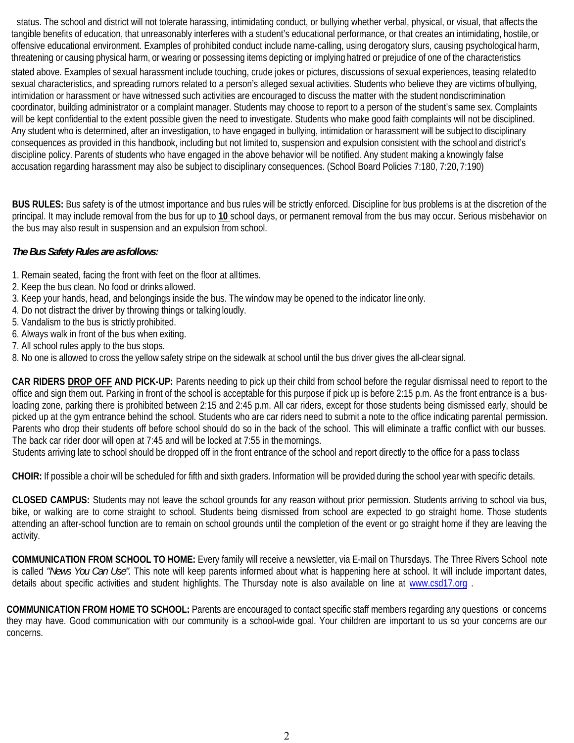status. The school and district will not tolerate harassing, intimidating conduct, or bullying whether verbal, physical, or visual, that affects the tangible benefits of education, that unreasonably interferes with a student's educational performance, or that creates an intimidating, hostile, or offensive educational environment. Examples of prohibited conduct include name-calling, using derogatory slurs, causing psychological harm, threatening or causing physical harm, or wearing or possessing items depicting or implying hatred or prejudice of one of the characteristics stated above. Examples of sexual harassment include touching, crude jokes or pictures, discussions of sexual experiences, teasing related to sexual characteristics, and spreading rumors related to a person's alleged sexual activities. Students who believe they are victims of bullying, intimidation or harassment or have witnessed such activities are encouraged to discuss the matter with the student nondiscrimination coordinator, building administrator or a complaint manager. Students may choose to report to a person of the student's same sex. Complaints will be kept confidential to the extent possible given the need to investigate. Students who make good faith complaints will not be disciplined. Any student who is determined, after an investigation, to have engaged in bullying, intimidation or harassment will be subject to disciplinary consequences as provided in this handbook, including but not limited to, suspension and expulsion consistent with the school and district's discipline policy. Parents of students who have engaged in the above behavior will be notified. Any student making a knowingly false accusation regarding harassment may also be subject to disciplinary consequences. (School Board Policies 7:180, 7:20, 7:190)

**BUS RULES:** Bus safety is of the utmost importance and bus rules will be strictly enforced. Discipline for bus problems is at the discretion of the principal. It may include removal from the bus for up to **10** school days, or permanent removal from the bus may occur. Serious misbehavior on the bus may also result in suspension and an expulsion from school.

#### *The Bus Safety Rules are as follows:*

- 1. Remain seated, facing the front with feet on the floor at all times.
- 2. Keep the bus clean. No food or drinks allowed.
- 3. Keep your hands, head, and belongings inside the bus. The window may be opened to the indicator line only.
- 4. Do not distract the driver by throwing things or talking loudly.
- 5. Vandalism to the bus is strictly prohibited.
- 6. Always walk in front of the bus when exiting.
- 7. All school rules apply to the bus stops.
- 8. No one is allowed to cross the yellow safety stripe on the sidewalk at school until the bus driver gives the all-clear signal.

**CAR RIDERS DROP OFF AND PICK-UP:** Parents needing to pick up their child from school before the regular dismissal need to report to the office and sign them out. Parking in front of the school is acceptable for this purpose if pick up is before 2:15 p.m. As the front entrance is a busloading zone, parking there is prohibited between 2:15 and 2:45 p.m. All car riders, except for those students being dismissed early, should be picked up at the gym entrance behind the school. Students who are car riders need to submit a note to the office indicating parental permission. Parents who drop their students off before school should do so in the back of the school. This will eliminate a traffic conflict with our busses. The back car rider door will open at 7:45 and will be locked at 7:55 in the mornings.

Students arriving late to school should be dropped off in the front entrance of the school and report directly to the office for a pass to class

**CHOIR:** If possible a choir will be scheduled for fifth and sixth graders. Information will be provided during the school year with specific details.

**CLOSED CAMPUS:** Students may not leave the school grounds for any reason without prior permission. Students arriving to school via bus, bike, or walking are to come straight to school. Students being dismissed from school are expected to go straight home. Those students attending an after-school function are to remain on school grounds until the completion of the event or go straight home if they are leaving the activity.

**COMMUNICATION FROM SCHOOL TO HOME:** Every family will receive a newsletter, via E-mail on Thursdays. The Three Rivers School note is called *"News You Can Use".* This note will keep parents informed about what is happening here at school. It will include important dates, details about specific activities and student highlights. The Thursday note is also available on line at www.csd17.org.

**COMMUNICATION FROM HOME TO SCHOOL:** Parents are encouraged to contact specific staff members regarding any questions or concerns they may have. Good communication with our community is a school-wide goal. Your children are important to us so your concerns are our concerns.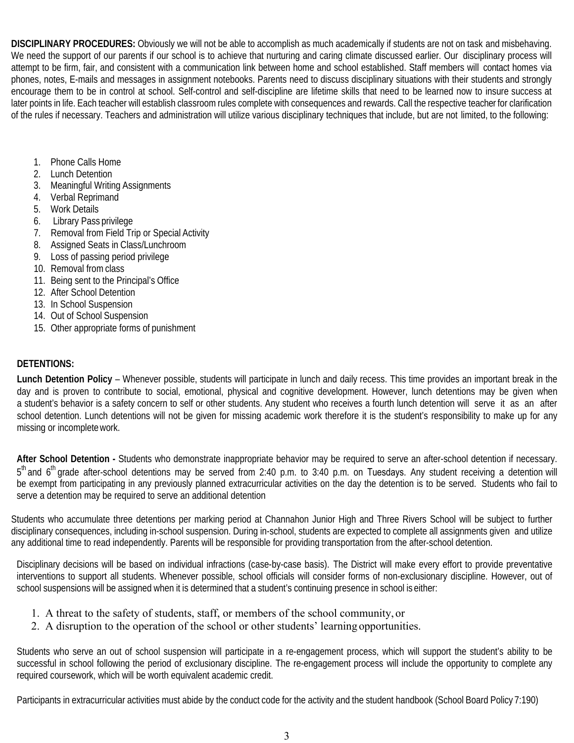**DISCIPLINARY PROCEDURES:** Obviously we will not be able to accomplish as much academically if students are not on task and misbehaving. We need the support of our parents if our school is to achieve that nurturing and caring climate discussed earlier. Our disciplinary process will attempt to be firm, fair, and consistent with a communication link between home and school established. Staff members will contact homes via phones, notes, E-mails and messages in assignment notebooks. Parents need to discuss disciplinary situations with their students and strongly encourage them to be in control at school. Self-control and self-discipline are lifetime skills that need to be learned now to insure success at later points in life. Each teacher will establish classroom rules complete with consequences and rewards. Call the respective teacher for clarification of the rules if necessary. Teachers and administration will utilize various disciplinary techniques that include, but are not limited, to the following:

- 1. Phone Calls Home
- 2. Lunch Detention
- 3. Meaningful Writing Assignments
- 4. Verbal Reprimand
- 5. Work Details
- 6. Library Pass privilege
- 7. Removal from Field Trip or Special Activity
- 8. Assigned Seats in Class/Lunchroom
- 9. Loss of passing period privilege
- 10. Removal from class
- 11. Being sent to the Principal's Office
- 12. After School Detention
- 13. In School Suspension
- 14. Out of School Suspension
- 15. Other appropriate forms of punishment

### **DETENTIONS:**

**Lunch Detention Policy** – Whenever possible, students will participate in lunch and daily recess. This time provides an important break in the day and is proven to contribute to social, emotional, physical and cognitive development. However, lunch detentions may be given when a student's behavior is a safety concern to self or other students. Any student who receives a fourth lunch detention will serve it as an after school detention. Lunch detentions will not be given for missing academic work therefore it is the student's responsibility to make up for any missing or incompletework.

**After School Detention -** Students who demonstrate inappropriate behavior may be required to serve an after-school detention if necessary. 5<sup>th</sup> and 6<sup>th</sup> grade after-school detentions may be served from 2:40 p.m. to 3:40 p.m. on Tuesdays. Any student receiving a detention will be exempt from participating in any previously planned extracurricular activities on the day the detention is to be served. Students who fail to serve a detention may be required to serve an additional detention

Students who accumulate three detentions per marking period at Channahon Junior High and Three Rivers School will be subject to further disciplinary consequences, including in-school suspension. During in-school, students are expected to complete all assignments given and utilize any additional time to read independently. Parents will be responsible for providing transportation from the after-school detention.

Disciplinary decisions will be based on individual infractions (case-by-case basis). The District will make every effort to provide preventative interventions to support all students. Whenever possible, school officials will consider forms of non-exclusionary discipline. However, out of school suspensions will be assigned when it is determined that a student's continuing presence in school is either:

- 1. A threat to the safety of students, staff, or members of the school community, or
- 2. A disruption to the operation of the school or other students' learning opportunities.

Students who serve an out of school suspension will participate in a re-engagement process, which will support the student's ability to be successful in school following the period of exclusionary discipline. The re-engagement process will include the opportunity to complete any required coursework, which will be worth equivalent academic credit.

Participants in extracurricular activities must abide by the conduct code for the activity and the student handbook (School Board Policy 7:190)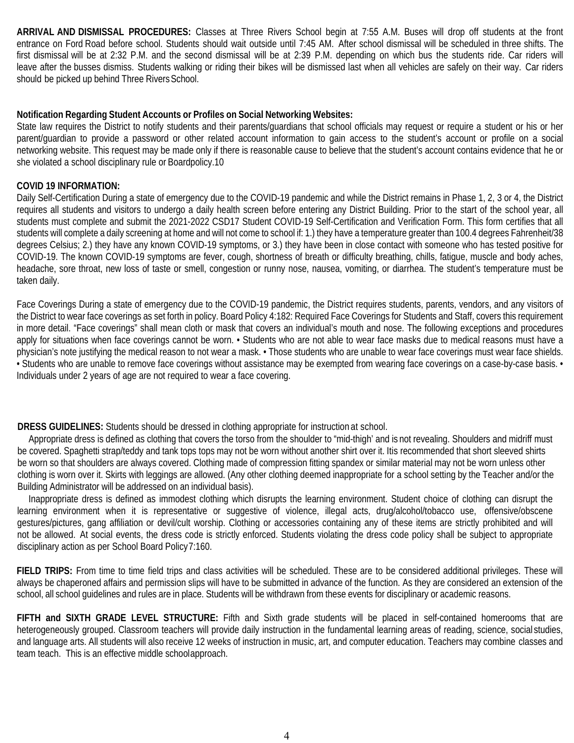**ARRIVAL AND DISMISSAL PROCEDURES:** Classes at Three Rivers School begin at 7:55 A.M. Buses will drop off students at the front entrance on Ford Road before school. Students should wait outside until 7:45 AM. After school dismissal will be scheduled in three shifts. The first dismissal will be at 2:32 P.M. and the second dismissal will be at 2:39 P.M. depending on which bus the students ride. Car riders will leave after the busses dismiss. Students walking or riding their bikes will be dismissed last when all vehicles are safely on their way. Car riders should be picked up behind Three Rivers School.

#### **Notification Regarding Student Accounts or Profiles on Social Networking Websites:**

State law requires the District to notify students and their parents/guardians that school officials may request or require a student or his or her parent/guardian to provide a password or other related account information to gain access to the student's account or profile on a social networking website. This request may be made only if there is reasonable cause to believe that the student's account contains evidence that he or she violated a school disciplinary rule or Boardpolicy.10

#### **COVID 19 INFORMATION:**

Daily Self-Certification During a state of emergency due to the COVID-19 pandemic and while the District remains in Phase 1, 2, 3 or 4, the District requires all students and visitors to undergo a daily health screen before entering any District Building. Prior to the start of the school year, all students must complete and submit the 2021-2022 CSD17 Student COVID-19 Self-Certification and Verification Form. This form certifies that all students will complete a daily screening at home and will not come to school if: 1.) they have a temperature greater than 100.4 degrees Fahrenheit/38 degrees Celsius; 2.) they have any known COVID-19 symptoms, or 3.) they have been in close contact with someone who has tested positive for COVID-19. The known COVID-19 symptoms are fever, cough, shortness of breath or difficulty breathing, chills, fatigue, muscle and body aches, headache, sore throat, new loss of taste or smell, congestion or runny nose, nausea, vomiting, or diarrhea. The student's temperature must be taken daily.

Face Coverings During a state of emergency due to the COVID-19 pandemic, the District requires students, parents, vendors, and any visitors of the District to wear face coverings as set forth in policy. Board Policy 4:182: Required Face Coverings for Students and Staff, covers this requirement in more detail. "Face coverings" shall mean cloth or mask that covers an individual's mouth and nose. The following exceptions and procedures apply for situations when face coverings cannot be worn. • Students who are not able to wear face masks due to medical reasons must have a physician's note justifying the medical reason to not wear a mask. • Those students who are unable to wear face coverings must wear face shields. • Students who are unable to remove face coverings without assistance may be exempted from wearing face coverings on a case-by-case basis. • Individuals under 2 years of age are not required to wear a face covering.

**DRESS GUIDELINES:** Students should be dressed in clothing appropriate for instruction at school.

Appropriate dress is defined as clothing that covers the torso from the shoulder to "mid-thigh' and is not revealing. Shoulders and midriff must be covered. Spaghetti strap/teddy and tank tops tops may not be worn without another shirt over it. Itis recommended that short sleeved shirts be worn so that shoulders are always covered. Clothing made of compression fitting spandex or similar material may not be worn unless other clothing is worn over it. Skirts with leggings are allowed. (Any other clothing deemed inappropriate for a school setting by the Teacher and/or the Building Administrator will be addressed on an individual basis).

Inappropriate dress is defined as immodest clothing which disrupts the learning environment. Student choice of clothing can disrupt the learning environment when it is representative or suggestive of violence, illegal acts, drug/alcohol/tobacco use, offensive/obscene gestures/pictures, gang affiliation or devil/cult worship. Clothing or accessories containing any of these items are strictly prohibited and will not be allowed. At social events, the dress code is strictly enforced. Students violating the dress code policy shall be subject to appropriate disciplinary action as per School Board Policy 7:160.

**FIELD TRIPS:** From time to time field trips and class activities will be scheduled. These are to be considered additional privileges. These will always be chaperoned affairs and permission slips will have to be submitted in advance of the function. As they are considered an extension of the school, all school guidelines and rules are in place. Students will be withdrawn from these events for disciplinary or academic reasons.

**FIFTH and SIXTH GRADE LEVEL STRUCTURE:** Fifth and Sixth grade students will be placed in self-contained homerooms that are heterogeneously grouped. Classroom teachers will provide daily instruction in the fundamental learning areas of reading, science, social studies, and language arts. All students will also receive 12 weeks of instruction in music, art, and computer education. Teachers may combine classes and team teach. This is an effective middle school approach.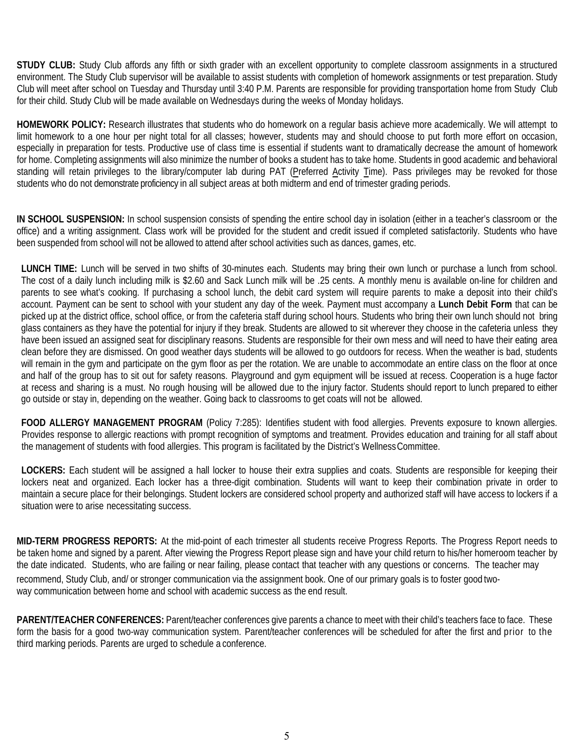**STUDY CLUB:** Study Club affords any fifth or sixth grader with an excellent opportunity to complete classroom assignments in a structured environment. The Study Club supervisor will be available to assist students with completion of homework assignments or test preparation. Study Club will meet after school on Tuesday and Thursday until 3:40 P.M. Parents are responsible for providing transportation home from Study Club for their child. Study Club will be made available on Wednesdays during the weeks of Monday holidays.

**HOMEWORK POLICY:** Research illustrates that students who do homework on a regular basis achieve more academically. We will attempt to limit homework to a one hour per night total for all classes; however, students may and should choose to put forth more effort on occasion, especially in preparation for tests. Productive use of class time is essential if students want to dramatically decrease the amount of homework for home. Completing assignments will also minimize the number of books a student has to take home. Students in good academic and behavioral standing will retain privileges to the library/computer lab during PAT (Preferred Activity Time). Pass privileges may be revoked for those students who do not demonstrate proficiency in all subject areas at both midterm and end of trimester grading periods.

**IN SCHOOL SUSPENSION:** In school suspension consists of spending the entire school day in isolation (either in a teacher's classroom or the office) and a writing assignment. Class work will be provided for the student and credit issued if completed satisfactorily. Students who have been suspended from school will not be allowed to attend after school activities such as dances, games, etc.

**LUNCH TIME:** Lunch will be served in two shifts of 30-minutes each. Students may bring their own lunch or purchase a lunch from school. The cost of a daily lunch including milk is \$2.60 and Sack Lunch milk will be .25 cents. A monthly menu is available on-line for children and parents to see what's cooking. If purchasing a school lunch, the debit card system will require parents to make a deposit into their child's account. Payment can be sent to school with your student any day of the week. Payment must accompany a **Lunch Debit Form** that can be picked up at the district office, school office, or from the cafeteria staff during school hours. Students who bring their own lunch should not bring glass containers as they have the potential for injury if they break. Students are allowed to sit wherever they choose in the cafeteria unless they have been issued an assigned seat for disciplinary reasons. Students are responsible for their own mess and will need to have their eating area clean before they are dismissed. On good weather days students will be allowed to go outdoors for recess. When the weather is bad, students will remain in the gym and participate on the gym floor as per the rotation. We are unable to accommodate an entire class on the floor at once and half of the group has to sit out for safety reasons. Playground and gym equipment will be issued at recess. Cooperation is a huge factor at recess and sharing is a must. No rough housing will be allowed due to the injury factor. Students should report to lunch prepared to either go outside or stay in, depending on the weather. Going back to classrooms to get coats will not be allowed.

**FOOD ALLERGY MANAGEMENT PROGRAM** (Policy 7:285): Identifies student with food allergies. Prevents exposure to known allergies. Provides response to allergic reactions with prompt recognition of symptoms and treatment. Provides education and training for all staff about the management of students with food allergies. This program is facilitated by the District's Wellness Committee.

LOCKERS: Each student will be assigned a hall locker to house their extra supplies and coats. Students are responsible for keeping their lockers neat and organized. Each locker has a three-digit combination. Students will want to keep their combination private in order to maintain a secure place for their belongings. Student lockers are considered school property and authorized staff will have access to lockers if a situation were to arise necessitating success.

**MID-TERM PROGRESS REPORTS:** At the mid-point of each trimester all students receive Progress Reports. The Progress Report needs to be taken home and signed by a parent. After viewing the Progress Report please sign and have your child return to his/her homeroom teacher by the date indicated. Students, who are failing or near failing, please contact that teacher with any questions or concerns. The teacher may recommend, Study Club, and/ or stronger communication via the assignment book. One of our primary goals is to foster good twoway communication between home and school with academic success as the end result.

**PARENT/TEACHER CONFERENCES:** Parent/teacher conferences give parents a chance to meet with their child's teachers face to face. These form the basis for a good two-way communication system. Parent/teacher conferences will be scheduled for after the first and prior to the third marking periods. Parents are urged to schedule a conference.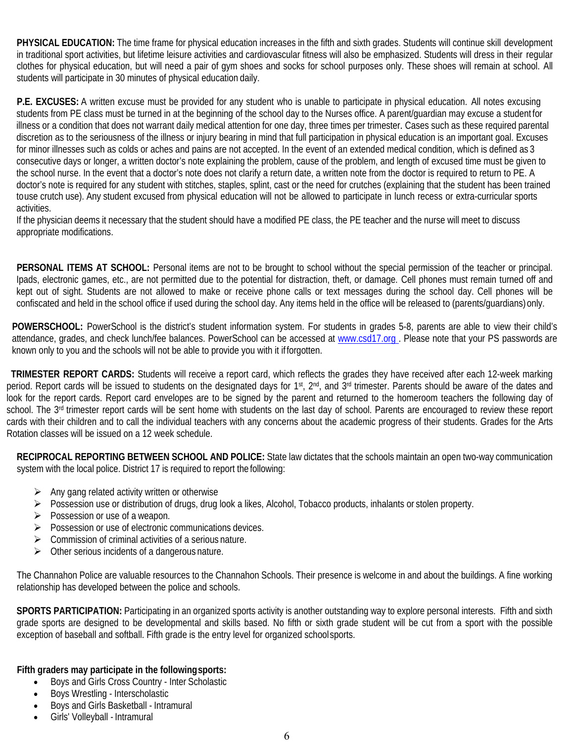**PHYSICAL EDUCATION:** The time frame for physical education increases in the fifth and sixth grades. Students will continue skill development in traditional sport activities, but lifetime leisure activities and cardiovascular fitness will also be emphasized. Students will dress in their regular clothes for physical education, but will need a pair of gym shoes and socks for school purposes only. These shoes will remain at school. All students will participate in 30 minutes of physical education daily.

**P.E. EXCUSES:** A written excuse must be provided for any student who is unable to participate in physical education. All notes excusing students from PE class must be turned in at the beginning of the school day to the Nurses office. A parent/guardian may excuse a student for illness or a condition that does not warrant daily medical attention for one day, three times per trimester*.* Cases such as these required parental discretion as to the seriousness of the illness or injury bearing in mind that full participation in physical education is an important goal. Excuses for minor illnesses such as colds or aches and pains are not accepted. In the event of an extended medical condition, which is defined as 3 consecutive days or longer, a written doctor's note explaining the problem, cause of the problem, and length of excused time must be given to the school nurse. In the event that a doctor's note does not clarify a return date, a written note from the doctor is required to return to PE. A doctor's note is required for any student with stitches, staples, splint, cast or the need for crutches (explaining that the student has been trained to use crutch use). Any student excused from physical education will not be allowed to participate in lunch recess or extra-curricular sports activities.

If the physician deems it necessary that the student should have a modified PE class, the PE teacher and the nurse will meet to discuss appropriate modifications.

**PERSONAL ITEMS AT SCHOOL:** Personal items are not to be brought to school without the special permission of the teacher or principal. Ipads, electronic games, etc., are not permitted due to the potential for distraction, theft, or damage. Cell phones must remain turned off and kept out of sight. Students are not allowed to make or receive phone calls or text messages during the school day. Cell phones will be confiscated and held in the school office if used during the school day. Any items held in the office will be released to (parents/guardians) only.

**POWERSCHOOL:** PowerSchool is the district's student information system. For students in grades 5-8, parents are able to view their child's attendance, grades, and check lunch/fee balances. PowerSchool can be accessed at www.csd17.org. Please note that your PS passwords are known only to you and the schools will not be able to provide you with it if forgotten.

 **TRIMESTER REPORT CARDS:** Students will receive a report card, which reflects the grades they have received after each 12-week marking period. Report cards will be issued to students on the designated days for 1<sup>st</sup>, 2<sup>nd</sup>, and 3<sup>rd</sup> trimester. Parents should be aware of the dates and look for the report cards. Report card envelopes are to be signed by the parent and returned to the homeroom teachers the following day of school. The 3<sup>rd</sup> trimester report cards will be sent home with students on the last day of school. Parents are encouraged to review these report cards with their children and to call the individual teachers with any concerns about the academic progress of their students. Grades for the Arts Rotation classes will be issued on a 12 week schedule.

**RECIPROCAL REPORTING BETWEEN SCHOOL AND POLICE:** State law dictates that the schools maintain an open two-way communication system with the local police. District 17 is required to report the following:

- $\triangleright$  Any gang related activity written or otherwise
- Possession use or distribution of drugs, drug look a likes, Alcohol, Tobacco products, inhalants or stolen property.
- $\triangleright$  Possession or use of a weapon.
- $\triangleright$  Possession or use of electronic communications devices.
- $\triangleright$  Commission of criminal activities of a serious nature.
- $\triangleright$  Other serious incidents of a dangerous nature.

The Channahon Police are valuable resources to the Channahon Schools. Their presence is welcome in and about the buildings. A fine working relationship has developed between the police and schools.

**SPORTS PARTICIPATION:** Participating in an organized sports activity is another outstanding way to explore personal interests. Fifth and sixth grade sports are designed to be developmental and skills based. No fifth or sixth grade student will be cut from a sport with the possible exception of baseball and softball. Fifth grade is the entry level for organized school sports.

#### **Fifth graders may participate in the following sports:**

- Boys and Girls Cross Country Inter Scholastic
- Boys Wrestling Interscholastic
- Boys and Girls Basketball Intramural
- Girls' Volleyball Intramural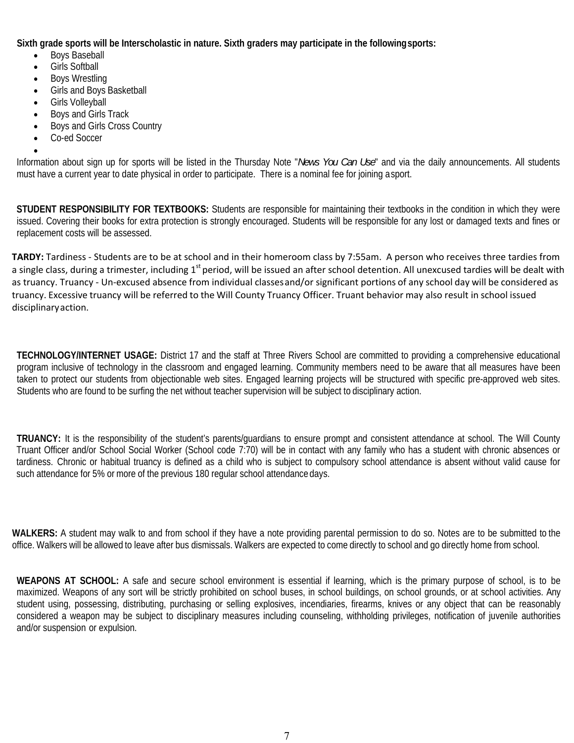**Sixth grade sports will be Interscholastic in nature. Sixth graders may participate in the following sports:**

- Boys Baseball
- Girls Softball
- Boys Wrestling
- Girls and Boys Basketball
- Girls Volleyball
- Boys and Girls Track
- Boys and Girls Cross Country
- Co-ed Soccer

 $\bullet$ Information about sign up for sports will be listed in the Thursday Note "*News You Can Use*" and via the daily announcements. All students must have a current year to date physical in order to participate. There is a nominal fee for joining a sport.

**STUDENT RESPONSIBILITY FOR TEXTBOOKS:** Students are responsible for maintaining their textbooks in the condition in which they were issued. Covering their books for extra protection is strongly encouraged. Students will be responsible for any lost or damaged texts and fines or replacement costs will be assessed.

**TARDY:** Tardiness ‐ Students are to be at school and in their homeroom class by 7:55am. A person who receives three tardies from a single class, during a trimester, including 1<sup>st</sup> period, will be issued an after school detention. All unexcused tardies will be dealt with as truancy. Truancy ‐ Un‐excused absence from individual classesand/or significant portions of any school day will be considered as truancy. Excessive truancy will be referred to the Will County Truancy Officer. Truant behavior may also result in school issued disciplinaryaction.

**TECHNOLOGY/INTERNET USAGE:** District 17 and the staff at Three Rivers School are committed to providing a comprehensive educational program inclusive of technology in the classroom and engaged learning. Community members need to be aware that all measures have been taken to protect our students from objectionable web sites. Engaged learning projects will be structured with specific pre-approved web sites. Students who are found to be surfing the net without teacher supervision will be subject to disciplinary action.

**TRUANCY:** It is the responsibility of the student's parents/guardians to ensure prompt and consistent attendance at school. The Will County Truant Officer and/or School Social Worker (School code 7:70) will be in contact with any family who has a student with chronic absences or tardiness. Chronic or habitual truancy is defined as a child who is subject to compulsory school attendance is absent without valid cause for such attendance for 5% or more of the previous 180 regular school attendance days.

**WALKERS:** A student may walk to and from school if they have a note providing parental permission to do so. Notes are to be submitted to the office. Walkers will be allowed to leave after bus dismissals. Walkers are expected to come directly to school and go directly home from school.

**WEAPONS AT SCHOOL:** A safe and secure school environment is essential if learning, which is the primary purpose of school, is to be maximized. Weapons of any sort will be strictly prohibited on school buses, in school buildings, on school grounds, or at school activities. Any student using, possessing, distributing, purchasing or selling explosives, incendiaries, firearms, knives or any object that can be reasonably considered a weapon may be subject to disciplinary measures including counseling, withholding privileges, notification of juvenile authorities and/or suspension or expulsion.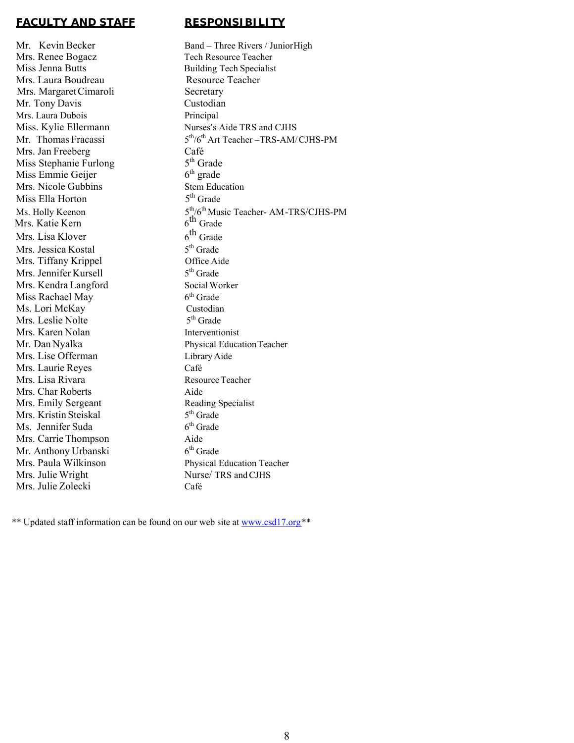#### **FACULTY AND STAFF RESPONSIBILITY**

Mrs. Renee Bogacz Tech Resource Teacher Miss Jenna Butts Building Tech Specialist Mrs. Laura Boudreau Resource Teacher Mrs. Margaret Cimaroli Secretary Mr. Tony Davis Custodian Mrs. Laura Dubois Principal Mrs. Jan Freeberg Café Miss Stephanie Furlong 5<sup>th</sup> Grade<br>
Miss Emmie Geijer 6<sup>th</sup> grade Miss Emmie Geijer Mrs. Nicole Gubbins Stem Education Miss Ella Horton  $5<sup>th</sup>$  Grade Mrs. Katie Kern 6<sup>th</sup> Grade<br>Mrs. Lisa Klover 6<sup>th</sup> Grade Mrs. Lisa Klover Mrs. Jessica Kostal  $5<sup>th</sup>$  Grade Mrs. Tiffany Krippel Office Aide Mrs. Jennifer Kursell  $5<sup>th</sup>$  Grade Mrs. Kendra Langford Social Worker  $M$ iss Rachael May 6<sup>th</sup> Grade Ms. Lori McKay Custodian<br>
Mrs. Leslie Nolte 5<sup>th</sup> Grade Mrs. Leslie Nolte Mrs. Karen Nolan Interventionist Mrs. Lise Offerman Library Aide Mrs. Laurie Reyes Café Mrs. Lisa Rivara Resource Teacher Mrs. Char Roberts Aide Mrs. Emily Sergeant Reading Specialist Mrs. Kristin Steiskal 5<sup>th</sup> Grade Ms. Jennifer Suda 6<sup>th</sup> Grade Mrs. Carrie Thompson Aide Mr. Anthony Urbanski  $6<sup>th</sup>$  Grade Mrs. Julie Wright Nurse/ TRS and CJHS Mrs. Julie Zolecki Café

Mr. Kevin Becker Band – Three Rivers / Junior High Miss. Kylie Ellermann Nurses's Aide TRS and CJHS Mr. Thomas Fracassi  $5<sup>th</sup>/6<sup>th</sup>$  Art Teacher –TRS-AM/ CJHS-PM Ms. Holly Keenon  $5<sup>th</sup>/6<sup>th</sup>$  Music Teacher- AM-TRS/CJHS-PM<br>Mrs. Katie Kern  $6<sup>th</sup>$  Grade Mr. Dan Nyalka Physical Education Teacher Mrs. Paula Wilkinson Physical Education Teacher

\*\* Updated staff information can be found on our web site at www.csd17.org \*\*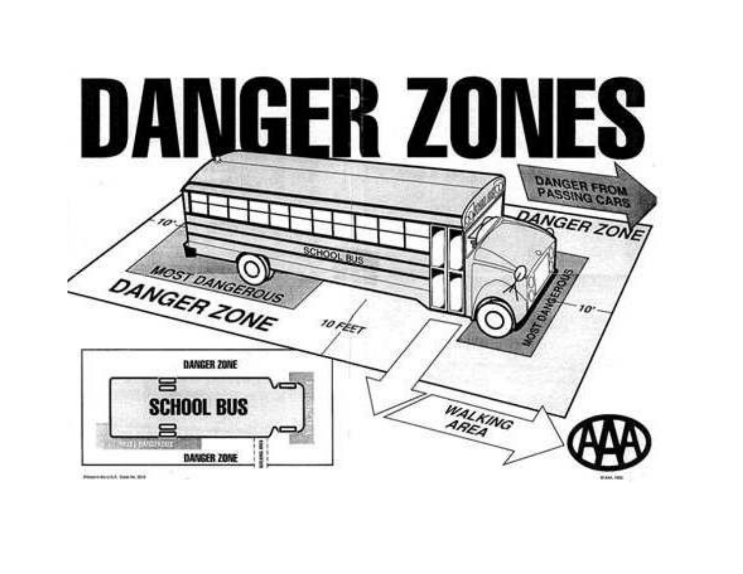